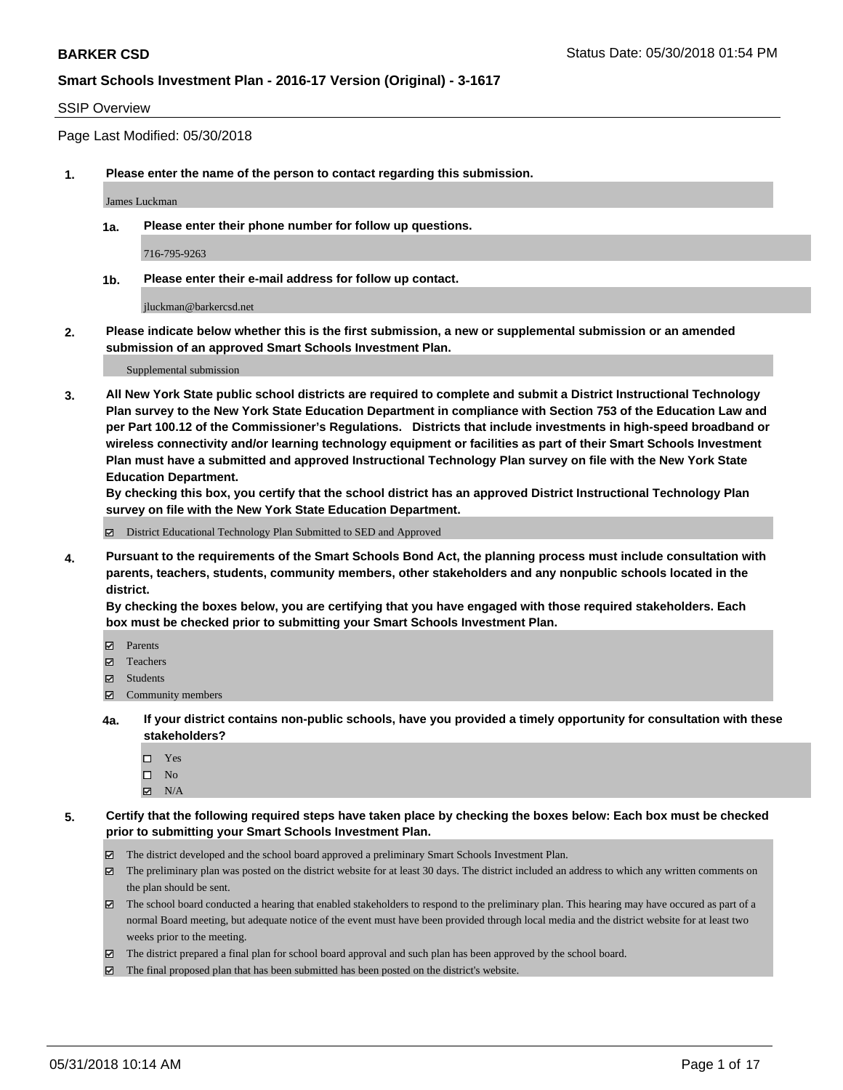#### SSIP Overview

Page Last Modified: 05/30/2018

**1. Please enter the name of the person to contact regarding this submission.**

James Luckman

**1a. Please enter their phone number for follow up questions.**

716-795-9263

**1b. Please enter their e-mail address for follow up contact.**

jluckman@barkercsd.net

**2. Please indicate below whether this is the first submission, a new or supplemental submission or an amended submission of an approved Smart Schools Investment Plan.**

Supplemental submission

**3. All New York State public school districts are required to complete and submit a District Instructional Technology Plan survey to the New York State Education Department in compliance with Section 753 of the Education Law and per Part 100.12 of the Commissioner's Regulations. Districts that include investments in high-speed broadband or wireless connectivity and/or learning technology equipment or facilities as part of their Smart Schools Investment Plan must have a submitted and approved Instructional Technology Plan survey on file with the New York State Education Department.** 

**By checking this box, you certify that the school district has an approved District Instructional Technology Plan survey on file with the New York State Education Department.**

District Educational Technology Plan Submitted to SED and Approved

**4. Pursuant to the requirements of the Smart Schools Bond Act, the planning process must include consultation with parents, teachers, students, community members, other stakeholders and any nonpublic schools located in the district.** 

**By checking the boxes below, you are certifying that you have engaged with those required stakeholders. Each box must be checked prior to submitting your Smart Schools Investment Plan.**

- Parents
- Teachers
- Students
- $\Xi$  Community members
- **4a. If your district contains non-public schools, have you provided a timely opportunity for consultation with these stakeholders?**
	- Yes
	- $\square$  No
	- $N/A$
- **5. Certify that the following required steps have taken place by checking the boxes below: Each box must be checked prior to submitting your Smart Schools Investment Plan.**
	- The district developed and the school board approved a preliminary Smart Schools Investment Plan.
	- $\boxtimes$  The preliminary plan was posted on the district website for at least 30 days. The district included an address to which any written comments on the plan should be sent.
	- $\boxtimes$  The school board conducted a hearing that enabled stakeholders to respond to the preliminary plan. This hearing may have occured as part of a normal Board meeting, but adequate notice of the event must have been provided through local media and the district website for at least two weeks prior to the meeting.
	- The district prepared a final plan for school board approval and such plan has been approved by the school board.
	- $\boxtimes$  The final proposed plan that has been submitted has been posted on the district's website.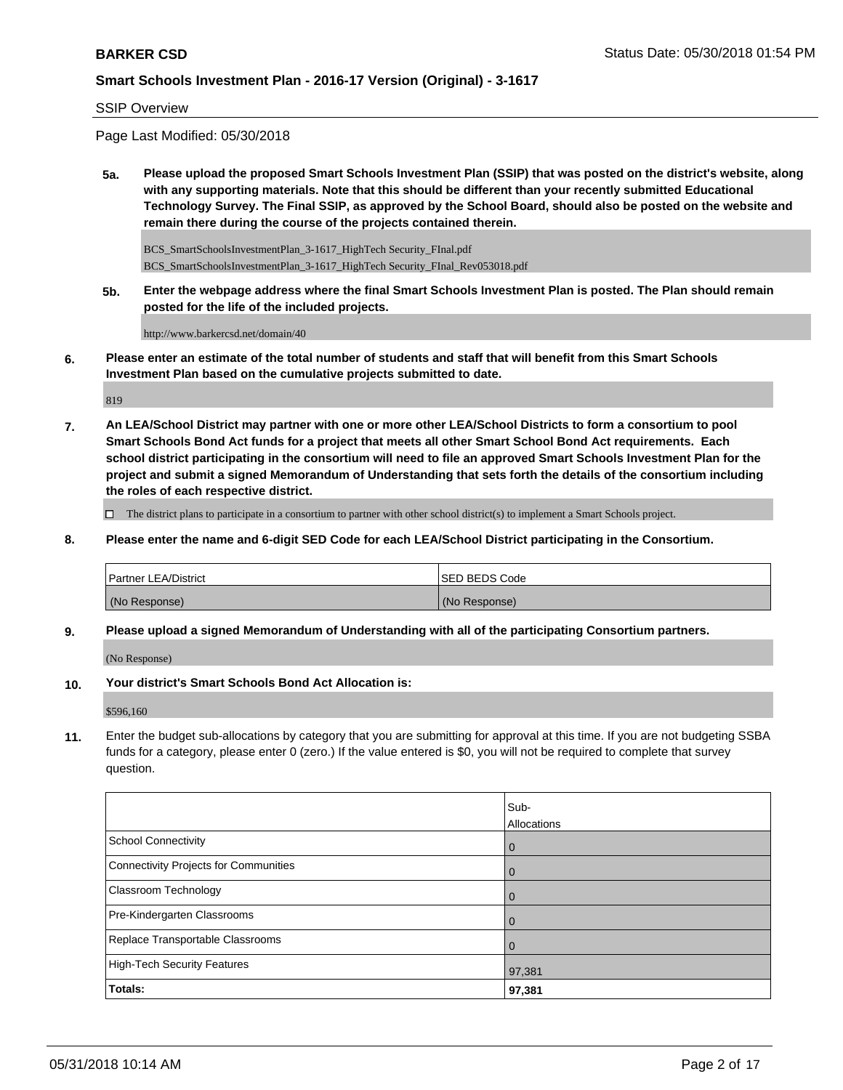SSIP Overview

Page Last Modified: 05/30/2018

**5a. Please upload the proposed Smart Schools Investment Plan (SSIP) that was posted on the district's website, along with any supporting materials. Note that this should be different than your recently submitted Educational Technology Survey. The Final SSIP, as approved by the School Board, should also be posted on the website and remain there during the course of the projects contained therein.**

BCS\_SmartSchoolsInvestmentPlan\_3-1617\_HighTech Security\_FInal.pdf BCS\_SmartSchoolsInvestmentPlan\_3-1617\_HighTech Security\_FInal\_Rev053018.pdf

**5b. Enter the webpage address where the final Smart Schools Investment Plan is posted. The Plan should remain posted for the life of the included projects.**

http://www.barkercsd.net/domain/40

**6. Please enter an estimate of the total number of students and staff that will benefit from this Smart Schools Investment Plan based on the cumulative projects submitted to date.**

819

**7. An LEA/School District may partner with one or more other LEA/School Districts to form a consortium to pool Smart Schools Bond Act funds for a project that meets all other Smart School Bond Act requirements. Each school district participating in the consortium will need to file an approved Smart Schools Investment Plan for the project and submit a signed Memorandum of Understanding that sets forth the details of the consortium including the roles of each respective district.**

 $\Box$  The district plans to participate in a consortium to partner with other school district(s) to implement a Smart Schools project.

**8. Please enter the name and 6-digit SED Code for each LEA/School District participating in the Consortium.**

| <b>Partner LEA/District</b> | <b>ISED BEDS Code</b> |
|-----------------------------|-----------------------|
| (No Response)               | (No Response)         |

**9. Please upload a signed Memorandum of Understanding with all of the participating Consortium partners.**

(No Response)

**10. Your district's Smart Schools Bond Act Allocation is:**

\$596,160

**11.** Enter the budget sub-allocations by category that you are submitting for approval at this time. If you are not budgeting SSBA funds for a category, please enter 0 (zero.) If the value entered is \$0, you will not be required to complete that survey question.

|                                       | Sub-<br>Allocations |
|---------------------------------------|---------------------|
|                                       |                     |
| School Connectivity                   | l 0                 |
| Connectivity Projects for Communities | 0                   |
| <b>Classroom Technology</b>           | l 0                 |
| Pre-Kindergarten Classrooms           | $\overline{0}$      |
| Replace Transportable Classrooms      | $\overline{0}$      |
| High-Tech Security Features           | 97,381              |
| Totals:                               | 97,381              |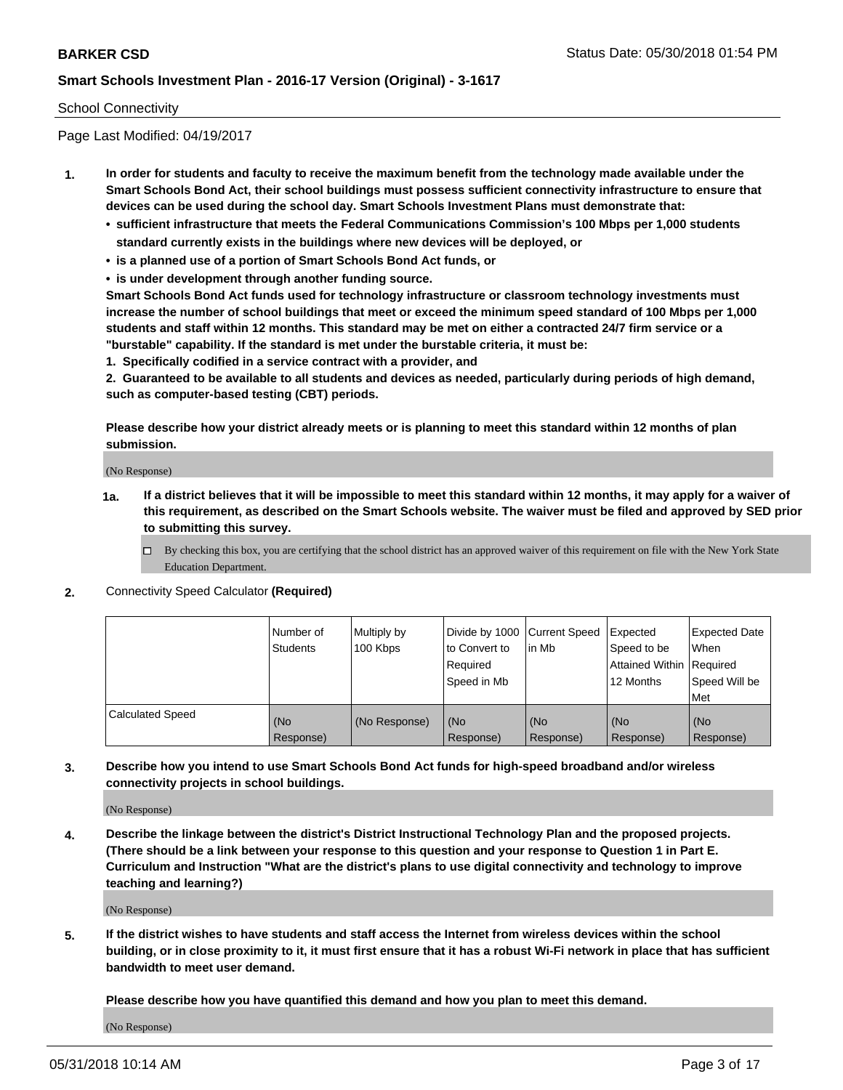#### School Connectivity

Page Last Modified: 04/19/2017

- **1. In order for students and faculty to receive the maximum benefit from the technology made available under the Smart Schools Bond Act, their school buildings must possess sufficient connectivity infrastructure to ensure that devices can be used during the school day. Smart Schools Investment Plans must demonstrate that:**
	- **• sufficient infrastructure that meets the Federal Communications Commission's 100 Mbps per 1,000 students standard currently exists in the buildings where new devices will be deployed, or**
	- **• is a planned use of a portion of Smart Schools Bond Act funds, or**
	- **• is under development through another funding source.**

**Smart Schools Bond Act funds used for technology infrastructure or classroom technology investments must increase the number of school buildings that meet or exceed the minimum speed standard of 100 Mbps per 1,000 students and staff within 12 months. This standard may be met on either a contracted 24/7 firm service or a "burstable" capability. If the standard is met under the burstable criteria, it must be:**

**1. Specifically codified in a service contract with a provider, and**

**2. Guaranteed to be available to all students and devices as needed, particularly during periods of high demand, such as computer-based testing (CBT) periods.**

**Please describe how your district already meets or is planning to meet this standard within 12 months of plan submission.**

(No Response)

- **1a. If a district believes that it will be impossible to meet this standard within 12 months, it may apply for a waiver of this requirement, as described on the Smart Schools website. The waiver must be filed and approved by SED prior to submitting this survey.**
	- By checking this box, you are certifying that the school district has an approved waiver of this requirement on file with the New York State Education Department.
- **2.** Connectivity Speed Calculator **(Required)**

|                         | l Number of<br>Students | Multiply by<br>100 Kbps | Divide by 1000 Current Speed<br>to Convert to<br>Required<br>Speed in Mb | lin Mb           | Expected<br>Speed to be<br>Attained Within   Required<br>12 Months | <b>Expected Date</b><br>When<br>Speed Will be<br>Met |
|-------------------------|-------------------------|-------------------------|--------------------------------------------------------------------------|------------------|--------------------------------------------------------------------|------------------------------------------------------|
| <b>Calculated Speed</b> | (No<br>Response)        | (No Response)           | (No<br>Response)                                                         | (No<br>Response) | (No<br>Response)                                                   | l (No<br>Response)                                   |

**3. Describe how you intend to use Smart Schools Bond Act funds for high-speed broadband and/or wireless connectivity projects in school buildings.**

(No Response)

**4. Describe the linkage between the district's District Instructional Technology Plan and the proposed projects. (There should be a link between your response to this question and your response to Question 1 in Part E. Curriculum and Instruction "What are the district's plans to use digital connectivity and technology to improve teaching and learning?)**

(No Response)

**5. If the district wishes to have students and staff access the Internet from wireless devices within the school building, or in close proximity to it, it must first ensure that it has a robust Wi-Fi network in place that has sufficient bandwidth to meet user demand.**

**Please describe how you have quantified this demand and how you plan to meet this demand.**

(No Response)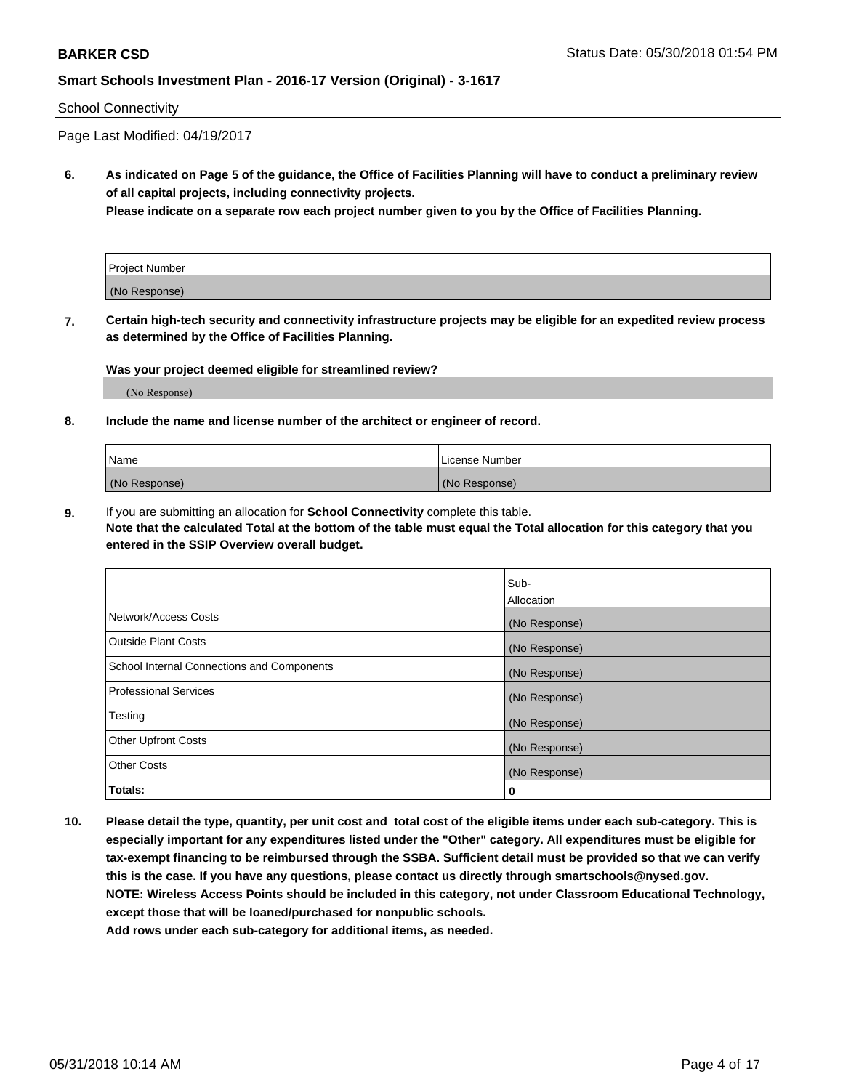#### School Connectivity

Page Last Modified: 04/19/2017

**6. As indicated on Page 5 of the guidance, the Office of Facilities Planning will have to conduct a preliminary review of all capital projects, including connectivity projects.**

**Please indicate on a separate row each project number given to you by the Office of Facilities Planning.**

| <b>Project Number</b> |  |
|-----------------------|--|
| (No Response)         |  |

**7. Certain high-tech security and connectivity infrastructure projects may be eligible for an expedited review process as determined by the Office of Facilities Planning.**

#### **Was your project deemed eligible for streamlined review?**

(No Response)

#### **8. Include the name and license number of the architect or engineer of record.**

| Name          | License Number |
|---------------|----------------|
| (No Response) | (No Response)  |

**9.** If you are submitting an allocation for **School Connectivity** complete this table.

**Note that the calculated Total at the bottom of the table must equal the Total allocation for this category that you entered in the SSIP Overview overall budget.** 

|                                            | Sub-          |
|--------------------------------------------|---------------|
|                                            | Allocation    |
| Network/Access Costs                       | (No Response) |
| Outside Plant Costs                        | (No Response) |
| School Internal Connections and Components | (No Response) |
| Professional Services                      | (No Response) |
| Testing                                    | (No Response) |
| <b>Other Upfront Costs</b>                 | (No Response) |
| <b>Other Costs</b>                         | (No Response) |
| Totals:                                    | 0             |

**10. Please detail the type, quantity, per unit cost and total cost of the eligible items under each sub-category. This is especially important for any expenditures listed under the "Other" category. All expenditures must be eligible for tax-exempt financing to be reimbursed through the SSBA. Sufficient detail must be provided so that we can verify this is the case. If you have any questions, please contact us directly through smartschools@nysed.gov. NOTE: Wireless Access Points should be included in this category, not under Classroom Educational Technology, except those that will be loaned/purchased for nonpublic schools.**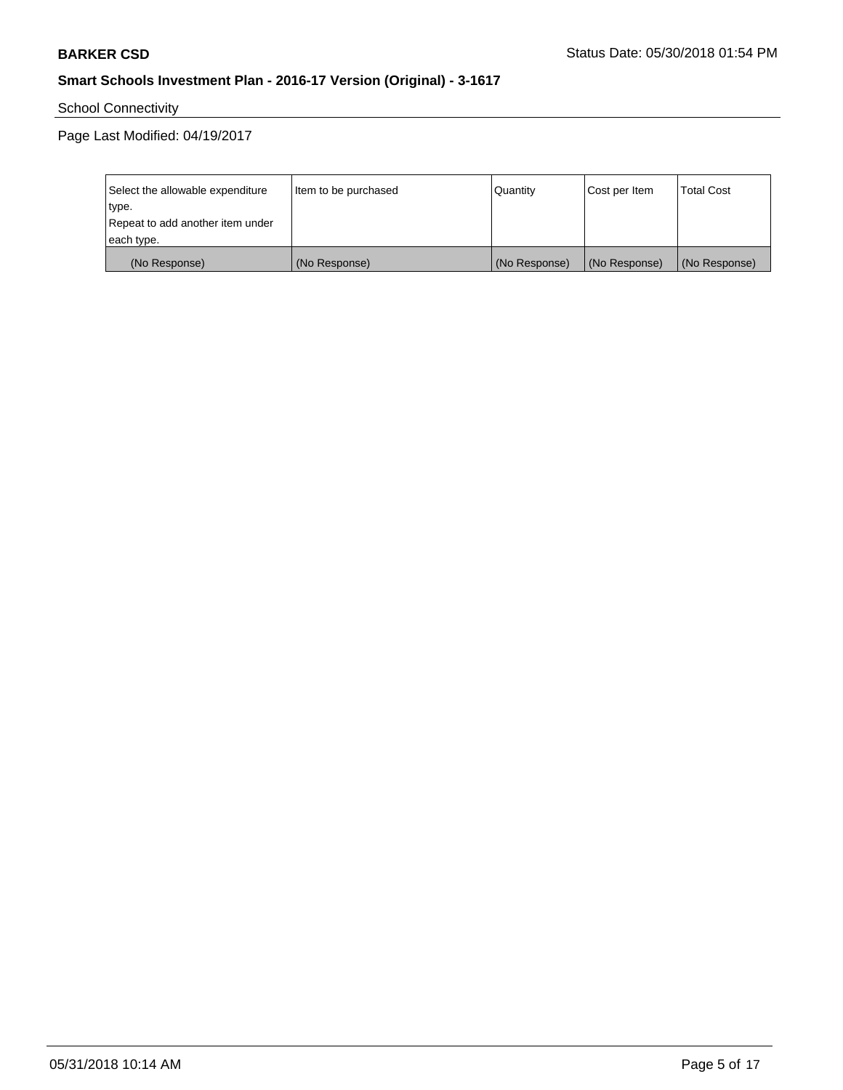School Connectivity

| Select the allowable expenditure | Item to be purchased | Quantity      | Cost per Item | <b>Total Cost</b> |
|----------------------------------|----------------------|---------------|---------------|-------------------|
| type.                            |                      |               |               |                   |
| Repeat to add another item under |                      |               |               |                   |
| each type.                       |                      |               |               |                   |
| (No Response)                    | (No Response)        | (No Response) | (No Response) | (No Response)     |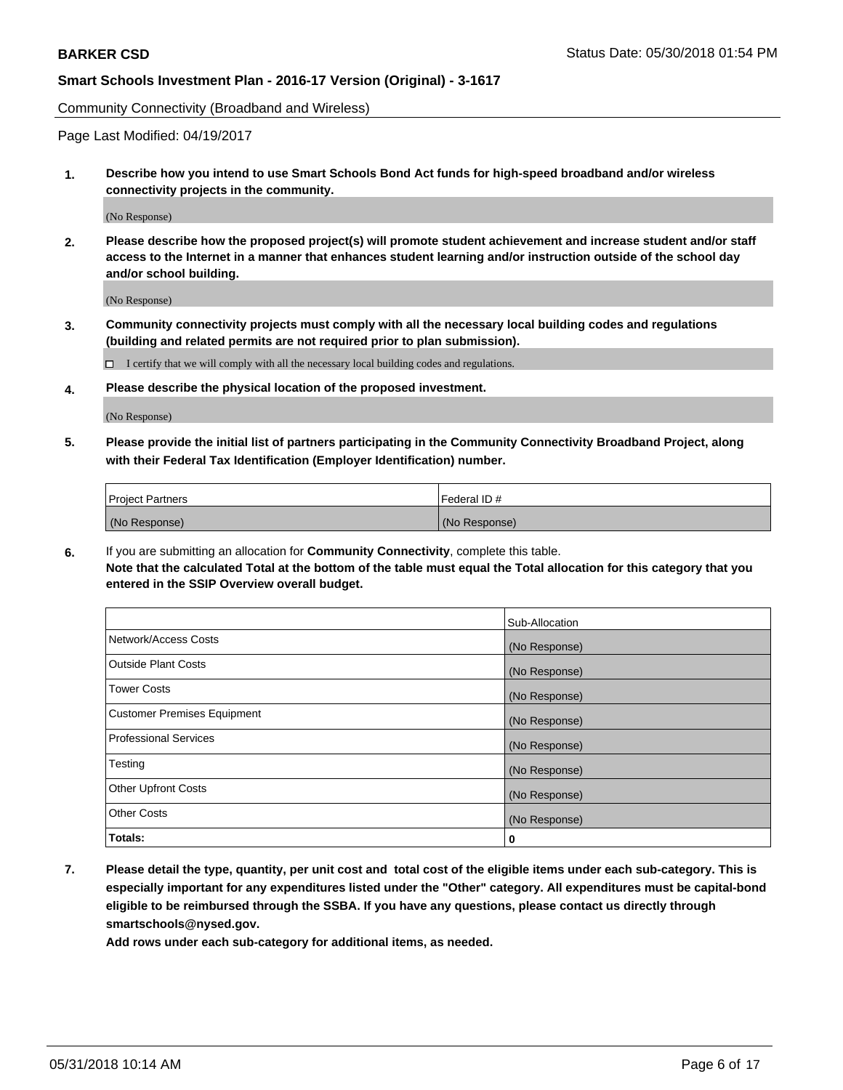Community Connectivity (Broadband and Wireless)

Page Last Modified: 04/19/2017

**1. Describe how you intend to use Smart Schools Bond Act funds for high-speed broadband and/or wireless connectivity projects in the community.**

(No Response)

**2. Please describe how the proposed project(s) will promote student achievement and increase student and/or staff access to the Internet in a manner that enhances student learning and/or instruction outside of the school day and/or school building.**

(No Response)

**3. Community connectivity projects must comply with all the necessary local building codes and regulations (building and related permits are not required prior to plan submission).**

 $\Box$  I certify that we will comply with all the necessary local building codes and regulations.

**4. Please describe the physical location of the proposed investment.**

(No Response)

**5. Please provide the initial list of partners participating in the Community Connectivity Broadband Project, along with their Federal Tax Identification (Employer Identification) number.**

| <b>Project Partners</b> | l Federal ID # |
|-------------------------|----------------|
| (No Response)           | (No Response)  |

**6.** If you are submitting an allocation for **Community Connectivity**, complete this table. **Note that the calculated Total at the bottom of the table must equal the Total allocation for this category that you entered in the SSIP Overview overall budget.**

|                                    | Sub-Allocation |
|------------------------------------|----------------|
| Network/Access Costs               | (No Response)  |
| Outside Plant Costs                | (No Response)  |
| <b>Tower Costs</b>                 | (No Response)  |
| <b>Customer Premises Equipment</b> | (No Response)  |
| Professional Services              | (No Response)  |
| Testing                            | (No Response)  |
| <b>Other Upfront Costs</b>         | (No Response)  |
| <b>Other Costs</b>                 | (No Response)  |
| Totals:                            | 0              |

**7. Please detail the type, quantity, per unit cost and total cost of the eligible items under each sub-category. This is especially important for any expenditures listed under the "Other" category. All expenditures must be capital-bond eligible to be reimbursed through the SSBA. If you have any questions, please contact us directly through smartschools@nysed.gov.**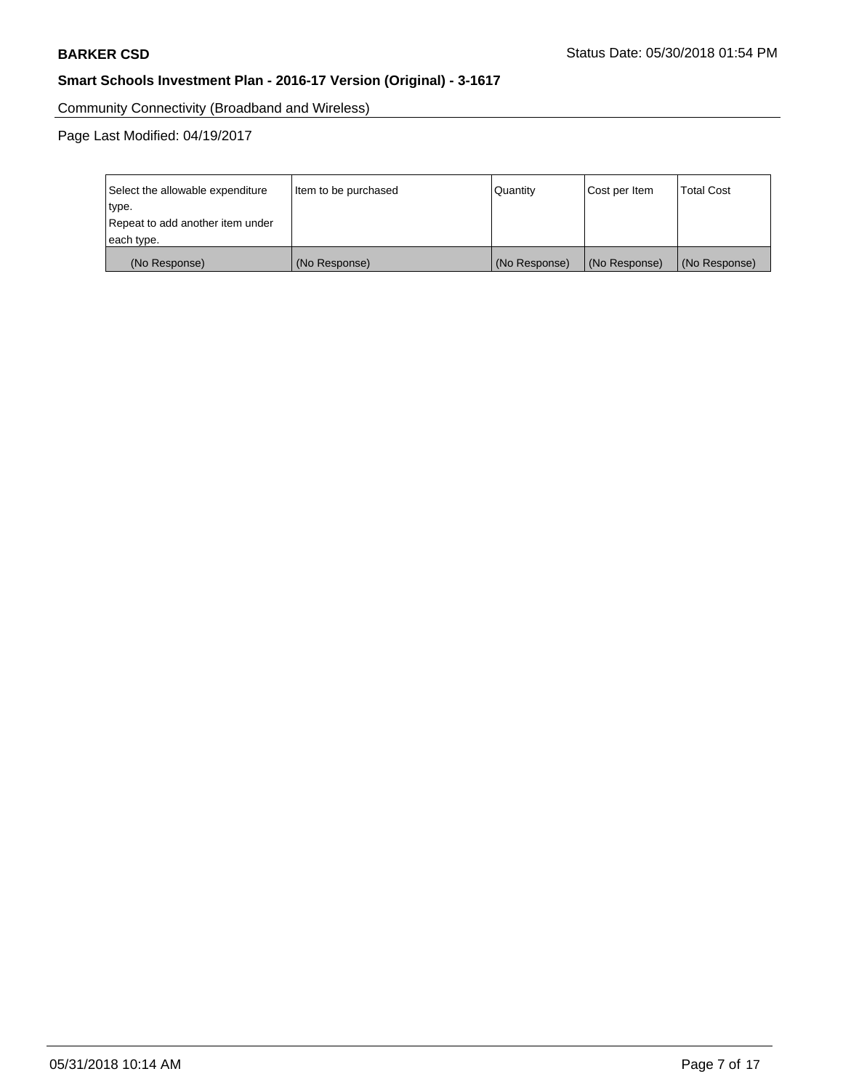Community Connectivity (Broadband and Wireless)

| Select the allowable expenditure<br>type.<br>Repeat to add another item under | Item to be purchased | Quantity      | Cost per Item | <b>Total Cost</b> |
|-------------------------------------------------------------------------------|----------------------|---------------|---------------|-------------------|
| each type.                                                                    |                      |               |               |                   |
| (No Response)                                                                 | (No Response)        | (No Response) | (No Response) | (No Response)     |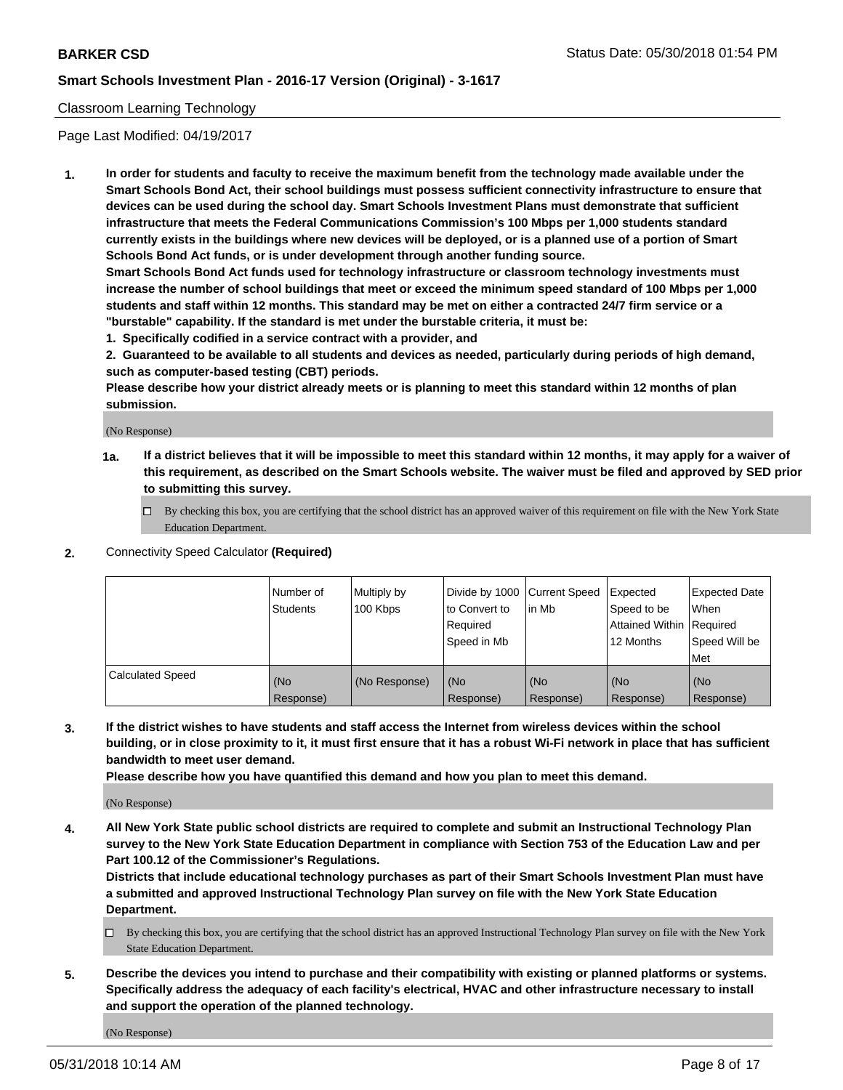#### Classroom Learning Technology

Page Last Modified: 04/19/2017

**1. In order for students and faculty to receive the maximum benefit from the technology made available under the Smart Schools Bond Act, their school buildings must possess sufficient connectivity infrastructure to ensure that devices can be used during the school day. Smart Schools Investment Plans must demonstrate that sufficient infrastructure that meets the Federal Communications Commission's 100 Mbps per 1,000 students standard currently exists in the buildings where new devices will be deployed, or is a planned use of a portion of Smart Schools Bond Act funds, or is under development through another funding source.**

**Smart Schools Bond Act funds used for technology infrastructure or classroom technology investments must increase the number of school buildings that meet or exceed the minimum speed standard of 100 Mbps per 1,000 students and staff within 12 months. This standard may be met on either a contracted 24/7 firm service or a "burstable" capability. If the standard is met under the burstable criteria, it must be:**

**1. Specifically codified in a service contract with a provider, and**

**2. Guaranteed to be available to all students and devices as needed, particularly during periods of high demand, such as computer-based testing (CBT) periods.**

**Please describe how your district already meets or is planning to meet this standard within 12 months of plan submission.**

(No Response)

- **1a. If a district believes that it will be impossible to meet this standard within 12 months, it may apply for a waiver of this requirement, as described on the Smart Schools website. The waiver must be filed and approved by SED prior to submitting this survey.**
	- By checking this box, you are certifying that the school district has an approved waiver of this requirement on file with the New York State Education Department.
- **2.** Connectivity Speed Calculator **(Required)**

|                         | Number of<br><b>Students</b> | Multiply by<br>100 Kbps | Divide by 1000 Current Speed<br>to Convert to<br>Required<br>Speed in Mb | l in Mb          | Expected<br>Speed to be<br>Attained Within Required<br>12 Months | Expected Date<br>When<br>Speed Will be<br>Met |
|-------------------------|------------------------------|-------------------------|--------------------------------------------------------------------------|------------------|------------------------------------------------------------------|-----------------------------------------------|
| <b>Calculated Speed</b> | (No<br>Response)             | (No Response)           | (No<br>Response)                                                         | (No<br>Response) | (No<br>Response)                                                 | (No<br>Response)                              |

**3. If the district wishes to have students and staff access the Internet from wireless devices within the school building, or in close proximity to it, it must first ensure that it has a robust Wi-Fi network in place that has sufficient bandwidth to meet user demand.**

**Please describe how you have quantified this demand and how you plan to meet this demand.**

(No Response)

**4. All New York State public school districts are required to complete and submit an Instructional Technology Plan survey to the New York State Education Department in compliance with Section 753 of the Education Law and per Part 100.12 of the Commissioner's Regulations.**

**Districts that include educational technology purchases as part of their Smart Schools Investment Plan must have a submitted and approved Instructional Technology Plan survey on file with the New York State Education Department.**

- By checking this box, you are certifying that the school district has an approved Instructional Technology Plan survey on file with the New York State Education Department.
- **5. Describe the devices you intend to purchase and their compatibility with existing or planned platforms or systems. Specifically address the adequacy of each facility's electrical, HVAC and other infrastructure necessary to install and support the operation of the planned technology.**

(No Response)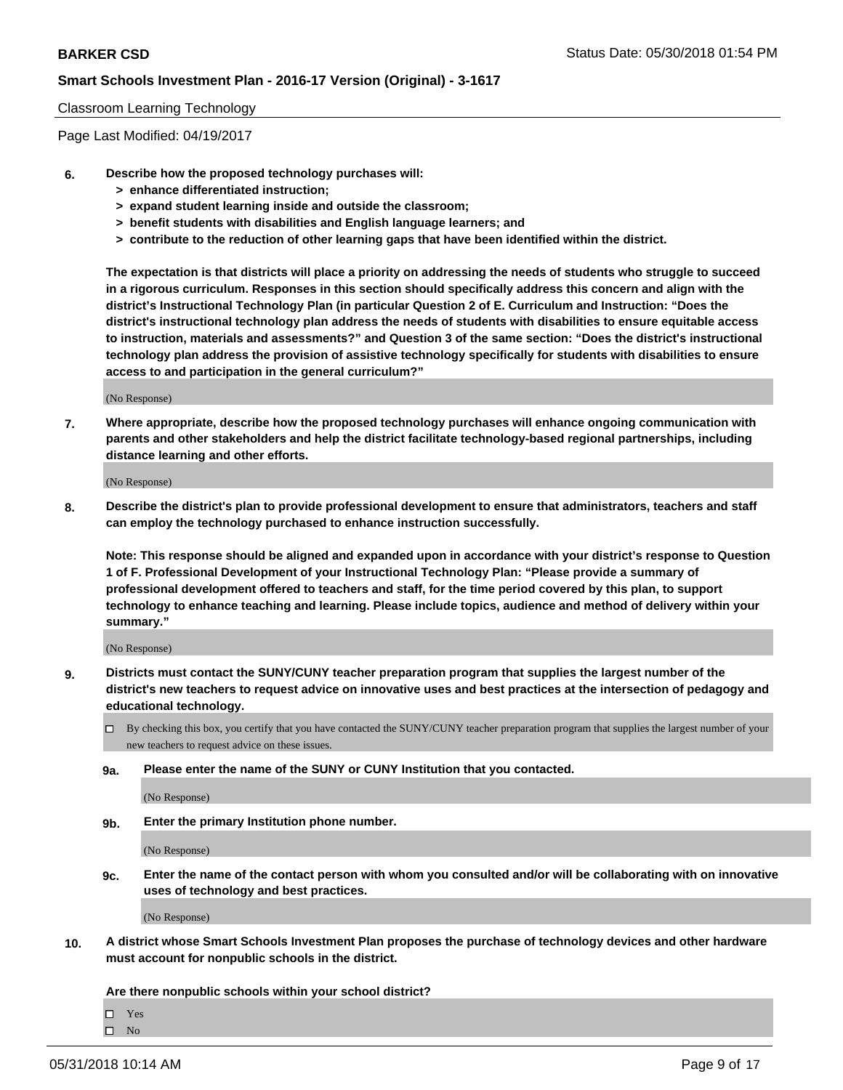#### Classroom Learning Technology

Page Last Modified: 04/19/2017

- **6. Describe how the proposed technology purchases will:**
	- **> enhance differentiated instruction;**
	- **> expand student learning inside and outside the classroom;**
	- **> benefit students with disabilities and English language learners; and**
	- **> contribute to the reduction of other learning gaps that have been identified within the district.**

**The expectation is that districts will place a priority on addressing the needs of students who struggle to succeed in a rigorous curriculum. Responses in this section should specifically address this concern and align with the district's Instructional Technology Plan (in particular Question 2 of E. Curriculum and Instruction: "Does the district's instructional technology plan address the needs of students with disabilities to ensure equitable access to instruction, materials and assessments?" and Question 3 of the same section: "Does the district's instructional technology plan address the provision of assistive technology specifically for students with disabilities to ensure access to and participation in the general curriculum?"**

(No Response)

**7. Where appropriate, describe how the proposed technology purchases will enhance ongoing communication with parents and other stakeholders and help the district facilitate technology-based regional partnerships, including distance learning and other efforts.**

(No Response)

**8. Describe the district's plan to provide professional development to ensure that administrators, teachers and staff can employ the technology purchased to enhance instruction successfully.**

**Note: This response should be aligned and expanded upon in accordance with your district's response to Question 1 of F. Professional Development of your Instructional Technology Plan: "Please provide a summary of professional development offered to teachers and staff, for the time period covered by this plan, to support technology to enhance teaching and learning. Please include topics, audience and method of delivery within your summary."**

(No Response)

- **9. Districts must contact the SUNY/CUNY teacher preparation program that supplies the largest number of the district's new teachers to request advice on innovative uses and best practices at the intersection of pedagogy and educational technology.**
	- $\Box$  By checking this box, you certify that you have contacted the SUNY/CUNY teacher preparation program that supplies the largest number of your new teachers to request advice on these issues.
	- **9a. Please enter the name of the SUNY or CUNY Institution that you contacted.**

(No Response)

**9b. Enter the primary Institution phone number.**

(No Response)

**9c. Enter the name of the contact person with whom you consulted and/or will be collaborating with on innovative uses of technology and best practices.**

(No Response)

**10. A district whose Smart Schools Investment Plan proposes the purchase of technology devices and other hardware must account for nonpublic schools in the district.**

**Are there nonpublic schools within your school district?**

 $\Box$ Yes  $\square$  No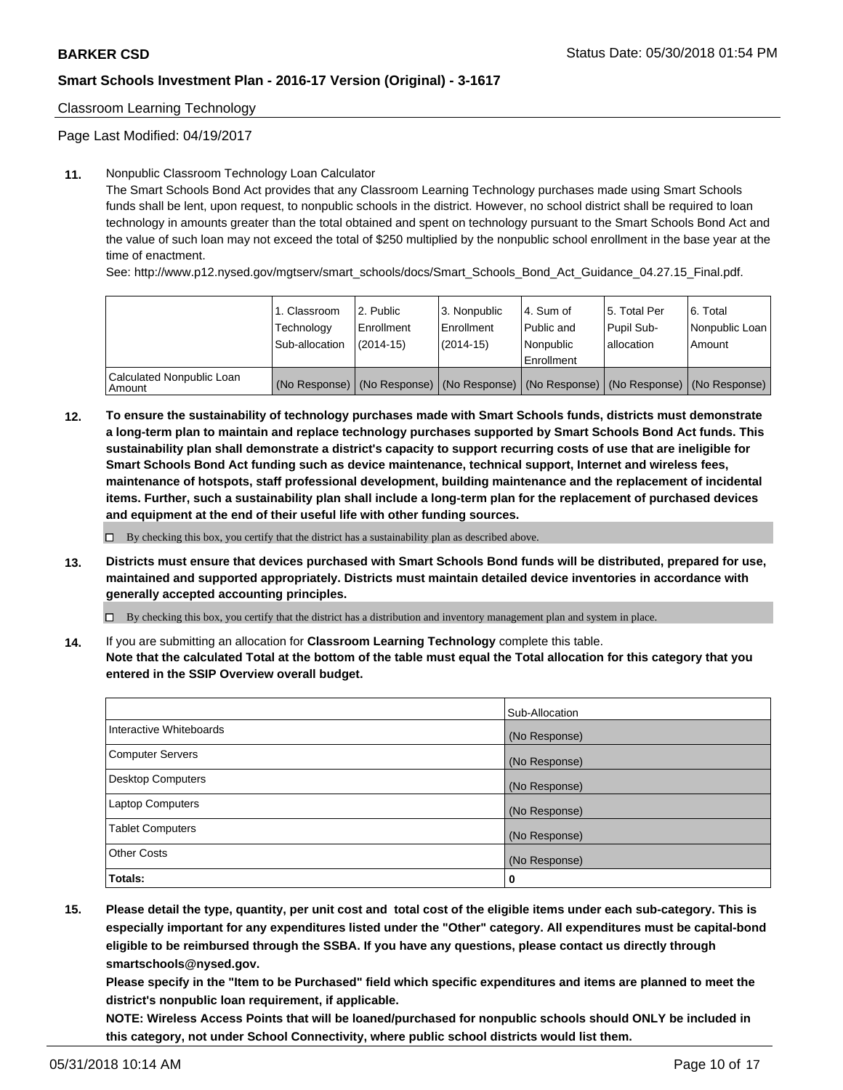Classroom Learning Technology

Page Last Modified: 04/19/2017

#### **11.** Nonpublic Classroom Technology Loan Calculator

The Smart Schools Bond Act provides that any Classroom Learning Technology purchases made using Smart Schools funds shall be lent, upon request, to nonpublic schools in the district. However, no school district shall be required to loan technology in amounts greater than the total obtained and spent on technology pursuant to the Smart Schools Bond Act and the value of such loan may not exceed the total of \$250 multiplied by the nonpublic school enrollment in the base year at the time of enactment.

See: http://www.p12.nysed.gov/mgtserv/smart\_schools/docs/Smart\_Schools\_Bond\_Act\_Guidance\_04.27.15\_Final.pdf.

|                                     | 1. Classroom<br>Technology<br>Sub-allocation | l 2. Public<br>Enrollment<br>$(2014 - 15)$ | <sup>1</sup> 3. Nonpublic<br>Enrollment<br>(2014-15) | l 4. Sum of<br>Public and<br>l Nonpublic<br>Enrollment                              | l 5. Total Per<br>Pupil Sub-<br>l allocation | l 6. Total<br>Nonpublic Loan<br>Amount |
|-------------------------------------|----------------------------------------------|--------------------------------------------|------------------------------------------------------|-------------------------------------------------------------------------------------|----------------------------------------------|----------------------------------------|
| Calculated Nonpublic Loan<br>Amount |                                              |                                            |                                                      | (No Response) (No Response) (No Response) (No Response) (No Response) (No Response) |                                              |                                        |

**12. To ensure the sustainability of technology purchases made with Smart Schools funds, districts must demonstrate a long-term plan to maintain and replace technology purchases supported by Smart Schools Bond Act funds. This sustainability plan shall demonstrate a district's capacity to support recurring costs of use that are ineligible for Smart Schools Bond Act funding such as device maintenance, technical support, Internet and wireless fees, maintenance of hotspots, staff professional development, building maintenance and the replacement of incidental items. Further, such a sustainability plan shall include a long-term plan for the replacement of purchased devices and equipment at the end of their useful life with other funding sources.**

 $\square$  By checking this box, you certify that the district has a sustainability plan as described above.

**13. Districts must ensure that devices purchased with Smart Schools Bond funds will be distributed, prepared for use, maintained and supported appropriately. Districts must maintain detailed device inventories in accordance with generally accepted accounting principles.**

By checking this box, you certify that the district has a distribution and inventory management plan and system in place.

**14.** If you are submitting an allocation for **Classroom Learning Technology** complete this table.

**Note that the calculated Total at the bottom of the table must equal the Total allocation for this category that you entered in the SSIP Overview overall budget.**

|                          | Sub-Allocation |
|--------------------------|----------------|
| Interactive Whiteboards  | (No Response)  |
| <b>Computer Servers</b>  | (No Response)  |
| <b>Desktop Computers</b> | (No Response)  |
| Laptop Computers         | (No Response)  |
| <b>Tablet Computers</b>  | (No Response)  |
| <b>Other Costs</b>       | (No Response)  |
| Totals:                  | 0              |

**15. Please detail the type, quantity, per unit cost and total cost of the eligible items under each sub-category. This is especially important for any expenditures listed under the "Other" category. All expenditures must be capital-bond eligible to be reimbursed through the SSBA. If you have any questions, please contact us directly through smartschools@nysed.gov.**

**Please specify in the "Item to be Purchased" field which specific expenditures and items are planned to meet the district's nonpublic loan requirement, if applicable.**

**NOTE: Wireless Access Points that will be loaned/purchased for nonpublic schools should ONLY be included in this category, not under School Connectivity, where public school districts would list them.**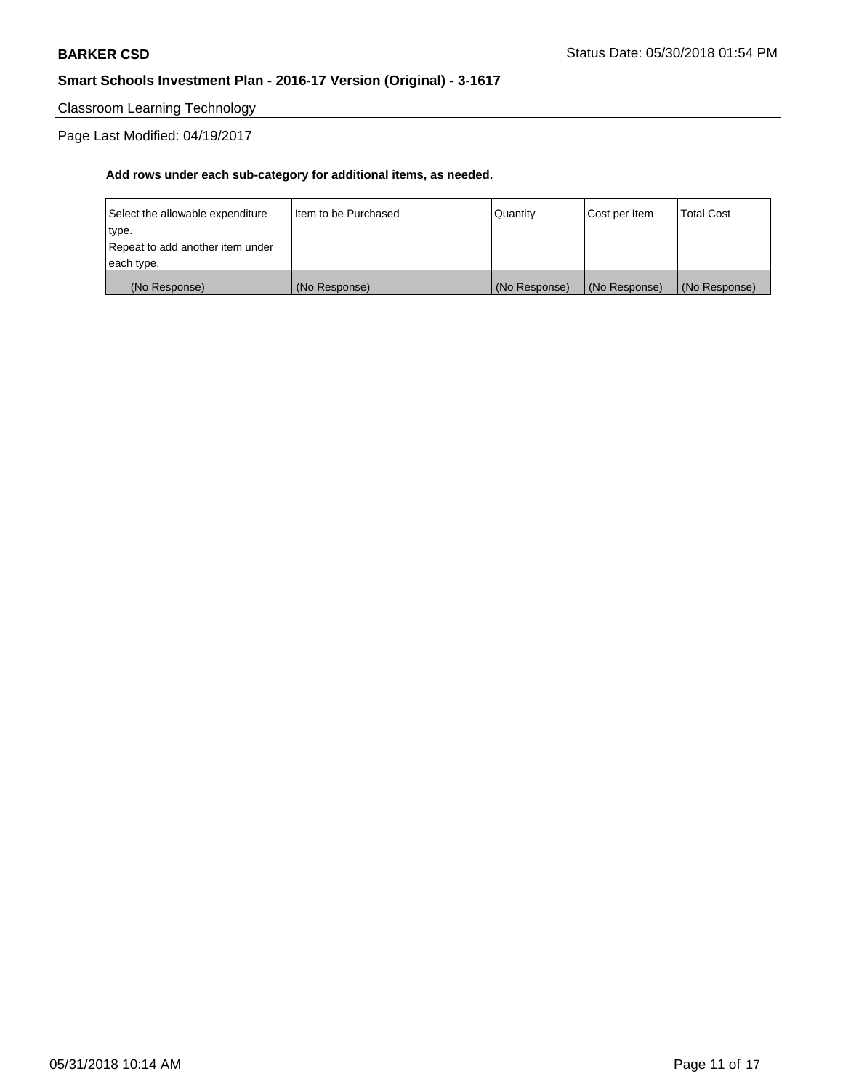Classroom Learning Technology

Page Last Modified: 04/19/2017

| (No Response)                    | (No Response)          | (No Response) | (No Response) | (No Response)     |
|----------------------------------|------------------------|---------------|---------------|-------------------|
| each type.                       |                        |               |               |                   |
| Repeat to add another item under |                        |               |               |                   |
| type.                            |                        |               |               |                   |
| Select the allowable expenditure | I Item to be Purchased | Quantity      | Cost per Item | <b>Total Cost</b> |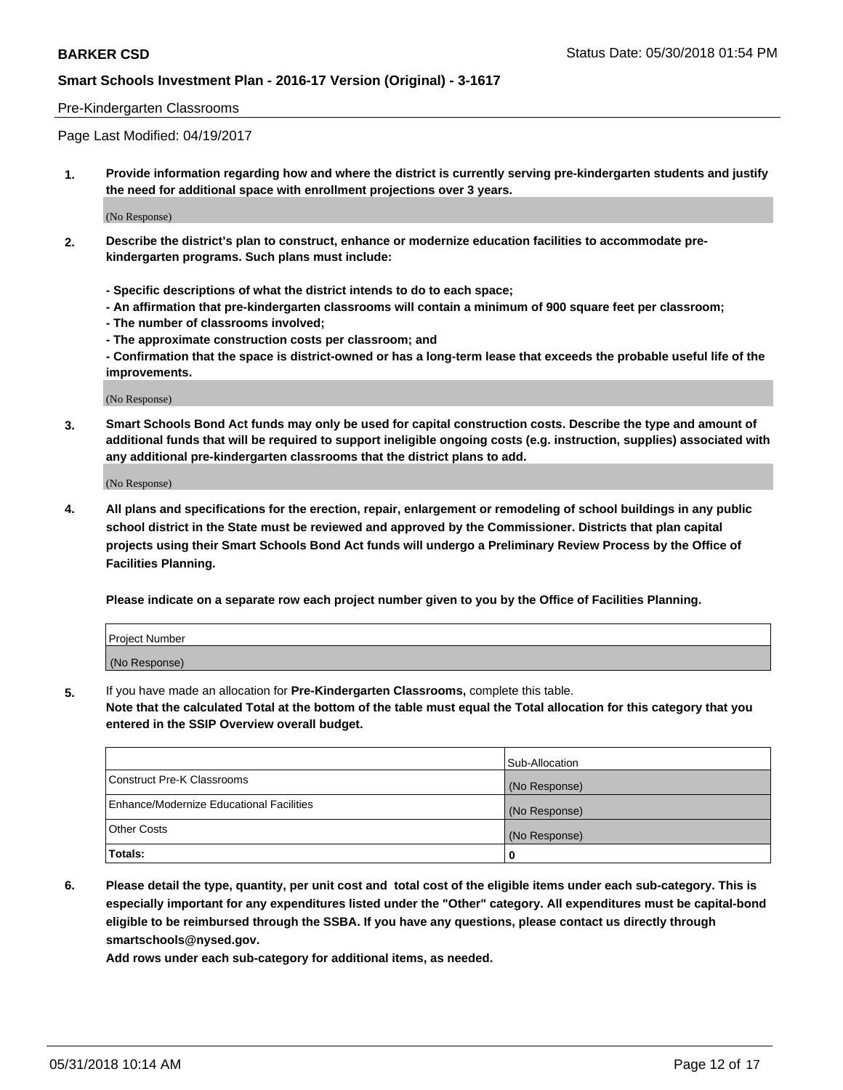#### Pre-Kindergarten Classrooms

Page Last Modified: 04/19/2017

**1. Provide information regarding how and where the district is currently serving pre-kindergarten students and justify the need for additional space with enrollment projections over 3 years.**

(No Response)

- **2. Describe the district's plan to construct, enhance or modernize education facilities to accommodate prekindergarten programs. Such plans must include:**
	- **Specific descriptions of what the district intends to do to each space;**
	- **An affirmation that pre-kindergarten classrooms will contain a minimum of 900 square feet per classroom;**
	- **The number of classrooms involved;**
	- **The approximate construction costs per classroom; and**
	- **Confirmation that the space is district-owned or has a long-term lease that exceeds the probable useful life of the improvements.**

(No Response)

**3. Smart Schools Bond Act funds may only be used for capital construction costs. Describe the type and amount of additional funds that will be required to support ineligible ongoing costs (e.g. instruction, supplies) associated with any additional pre-kindergarten classrooms that the district plans to add.**

(No Response)

**4. All plans and specifications for the erection, repair, enlargement or remodeling of school buildings in any public school district in the State must be reviewed and approved by the Commissioner. Districts that plan capital projects using their Smart Schools Bond Act funds will undergo a Preliminary Review Process by the Office of Facilities Planning.**

**Please indicate on a separate row each project number given to you by the Office of Facilities Planning.**

| Project Number |  |
|----------------|--|
| (No Response)  |  |

**5.** If you have made an allocation for **Pre-Kindergarten Classrooms,** complete this table.

**Note that the calculated Total at the bottom of the table must equal the Total allocation for this category that you entered in the SSIP Overview overall budget.**

|                                          | Sub-Allocation |
|------------------------------------------|----------------|
| Construct Pre-K Classrooms               | (No Response)  |
| Enhance/Modernize Educational Facilities | (No Response)  |
| Other Costs                              | (No Response)  |
| Totals:                                  | 0              |

**6. Please detail the type, quantity, per unit cost and total cost of the eligible items under each sub-category. This is especially important for any expenditures listed under the "Other" category. All expenditures must be capital-bond eligible to be reimbursed through the SSBA. If you have any questions, please contact us directly through smartschools@nysed.gov.**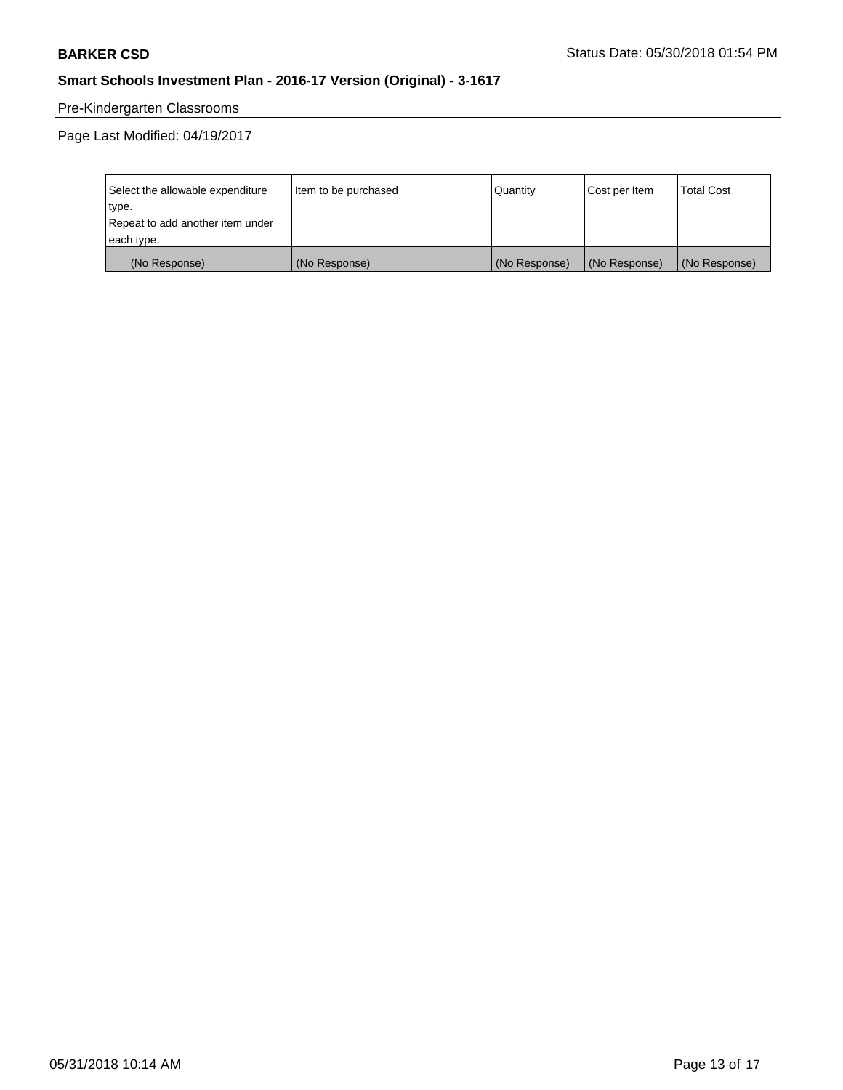# Pre-Kindergarten Classrooms

| Select the allowable expenditure | Item to be purchased | Quantity      | Cost per Item | <b>Total Cost</b> |
|----------------------------------|----------------------|---------------|---------------|-------------------|
| type.                            |                      |               |               |                   |
| Repeat to add another item under |                      |               |               |                   |
| each type.                       |                      |               |               |                   |
| (No Response)                    | (No Response)        | (No Response) | (No Response) | (No Response)     |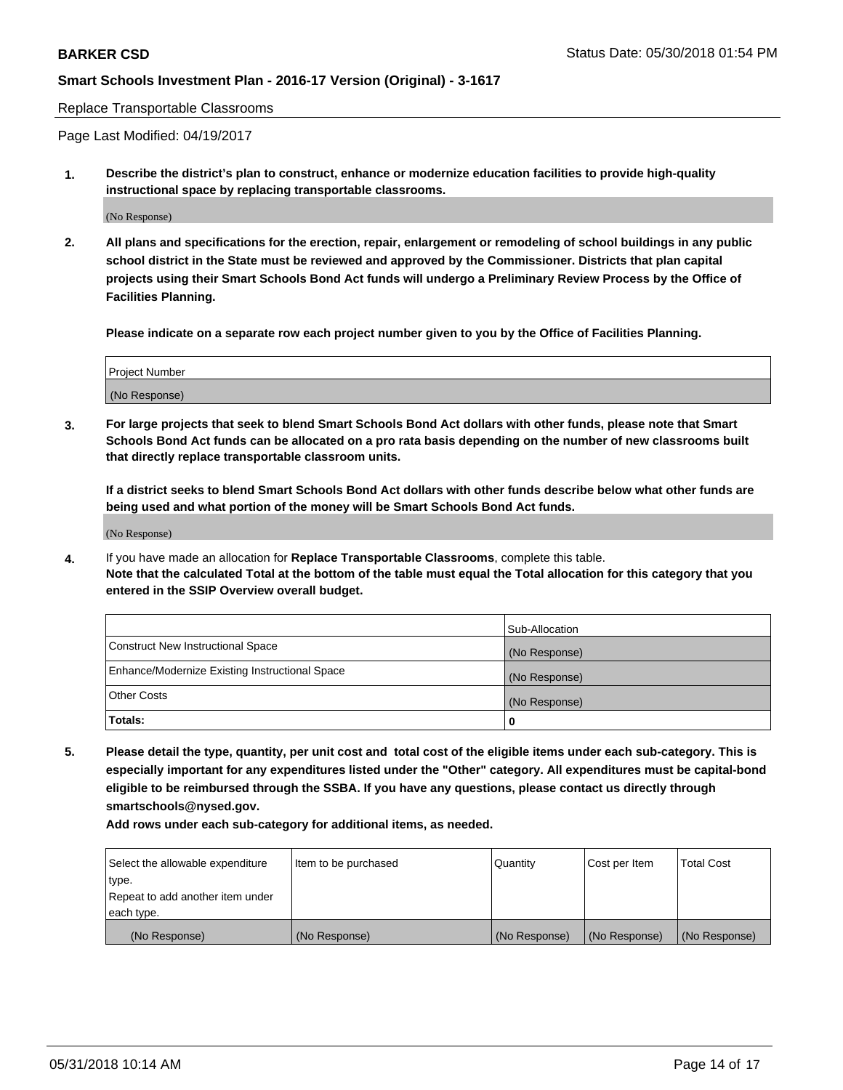Replace Transportable Classrooms

Page Last Modified: 04/19/2017

**1. Describe the district's plan to construct, enhance or modernize education facilities to provide high-quality instructional space by replacing transportable classrooms.**

(No Response)

**2. All plans and specifications for the erection, repair, enlargement or remodeling of school buildings in any public school district in the State must be reviewed and approved by the Commissioner. Districts that plan capital projects using their Smart Schools Bond Act funds will undergo a Preliminary Review Process by the Office of Facilities Planning.**

**Please indicate on a separate row each project number given to you by the Office of Facilities Planning.**

| <b>Project Number</b> |  |
|-----------------------|--|
| (No Response)         |  |
|                       |  |

**3. For large projects that seek to blend Smart Schools Bond Act dollars with other funds, please note that Smart Schools Bond Act funds can be allocated on a pro rata basis depending on the number of new classrooms built that directly replace transportable classroom units.**

**If a district seeks to blend Smart Schools Bond Act dollars with other funds describe below what other funds are being used and what portion of the money will be Smart Schools Bond Act funds.**

(No Response)

**4.** If you have made an allocation for **Replace Transportable Classrooms**, complete this table. **Note that the calculated Total at the bottom of the table must equal the Total allocation for this category that you entered in the SSIP Overview overall budget.**

|                                                | Sub-Allocation |
|------------------------------------------------|----------------|
| Construct New Instructional Space              | (No Response)  |
| Enhance/Modernize Existing Instructional Space | (No Response)  |
| Other Costs                                    | (No Response)  |
| Totals:                                        | 0              |

**5. Please detail the type, quantity, per unit cost and total cost of the eligible items under each sub-category. This is especially important for any expenditures listed under the "Other" category. All expenditures must be capital-bond eligible to be reimbursed through the SSBA. If you have any questions, please contact us directly through smartschools@nysed.gov.**

| Select the allowable expenditure<br>type. | Item to be purchased | Quantity      | Cost per Item | <b>Total Cost</b> |
|-------------------------------------------|----------------------|---------------|---------------|-------------------|
| Repeat to add another item under          |                      |               |               |                   |
| each type.                                |                      |               |               |                   |
| (No Response)                             | (No Response)        | (No Response) | (No Response) | (No Response)     |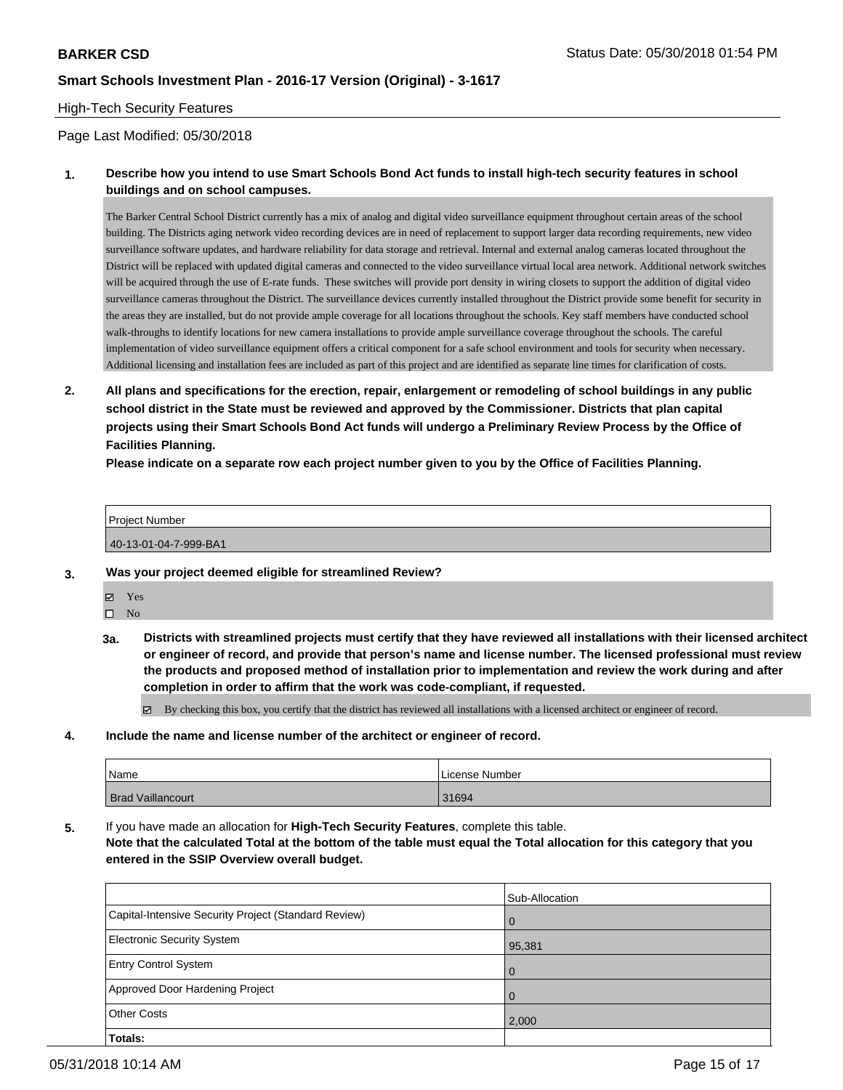### High-Tech Security Features

#### Page Last Modified: 05/30/2018

### **1. Describe how you intend to use Smart Schools Bond Act funds to install high-tech security features in school buildings and on school campuses.**

The Barker Central School District currently has a mix of analog and digital video surveillance equipment throughout certain areas of the school building. The Districts aging network video recording devices are in need of replacement to support larger data recording requirements, new video surveillance software updates, and hardware reliability for data storage and retrieval. Internal and external analog cameras located throughout the District will be replaced with updated digital cameras and connected to the video surveillance virtual local area network. Additional network switches will be acquired through the use of E-rate funds. These switches will provide port density in wiring closets to support the addition of digital video surveillance cameras throughout the District. The surveillance devices currently installed throughout the District provide some benefit for security in the areas they are installed, but do not provide ample coverage for all locations throughout the schools. Key staff members have conducted school walk-throughs to identify locations for new camera installations to provide ample surveillance coverage throughout the schools. The careful implementation of video surveillance equipment offers a critical component for a safe school environment and tools for security when necessary. Additional licensing and installation fees are included as part of this project and are identified as separate line times for clarification of costs.

**2. All plans and specifications for the erection, repair, enlargement or remodeling of school buildings in any public school district in the State must be reviewed and approved by the Commissioner. Districts that plan capital projects using their Smart Schools Bond Act funds will undergo a Preliminary Review Process by the Office of Facilities Planning.** 

**Please indicate on a separate row each project number given to you by the Office of Facilities Planning.**

Project Number 40-13-01-04-7-999-BA1

- **3. Was your project deemed eligible for streamlined Review?**
	- Yes
	- $\square$  No
	- **3a. Districts with streamlined projects must certify that they have reviewed all installations with their licensed architect or engineer of record, and provide that person's name and license number. The licensed professional must review the products and proposed method of installation prior to implementation and review the work during and after completion in order to affirm that the work was code-compliant, if requested.**

By checking this box, you certify that the district has reviewed all installations with a licensed architect or engineer of record.

**4. Include the name and license number of the architect or engineer of record.**

| Name                     | l License Number |
|--------------------------|------------------|
| <b>Brad Vaillancourt</b> | 31694            |

**5.** If you have made an allocation for **High-Tech Security Features**, complete this table. **Note that the calculated Total at the bottom of the table must equal the Total allocation for this category that you**

#### **entered in the SSIP Overview overall budget.**

|                                                      | Sub-Allocation |
|------------------------------------------------------|----------------|
| Capital-Intensive Security Project (Standard Review) | l O            |
| <b>Electronic Security System</b>                    | 95,381         |
| <b>Entry Control System</b>                          | $\overline{0}$ |
| Approved Door Hardening Project                      | $\Omega$       |
| <b>Other Costs</b>                                   | 2,000          |
| <b>Totals:</b>                                       |                |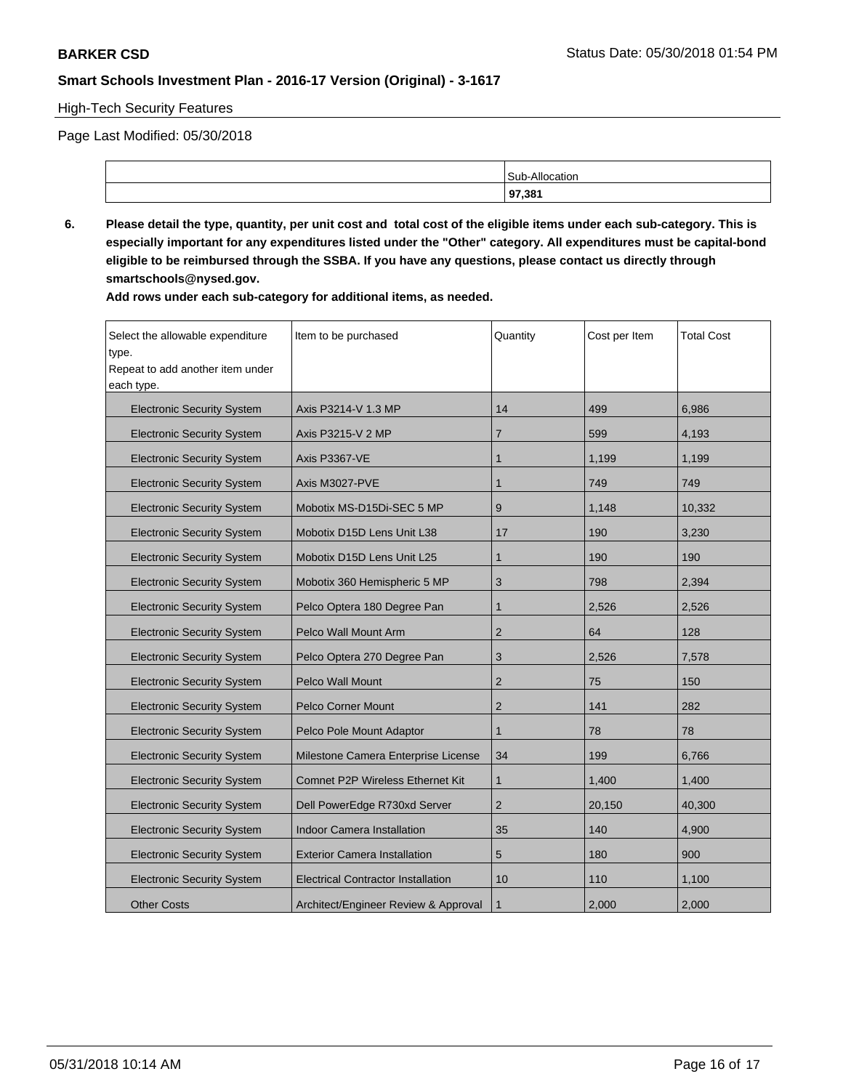### High-Tech Security Features

Page Last Modified: 05/30/2018

| 97.381                       |
|------------------------------|
| Alloc<br>c.ı<br>11.UL<br>our |

**6. Please detail the type, quantity, per unit cost and total cost of the eligible items under each sub-category. This is especially important for any expenditures listed under the "Other" category. All expenditures must be capital-bond eligible to be reimbursed through the SSBA. If you have any questions, please contact us directly through smartschools@nysed.gov.**

| Select the allowable expenditure          | Item to be purchased                      | Quantity       | Cost per Item | <b>Total Cost</b> |
|-------------------------------------------|-------------------------------------------|----------------|---------------|-------------------|
| type.<br>Repeat to add another item under |                                           |                |               |                   |
| each type.                                |                                           |                |               |                   |
|                                           |                                           |                |               |                   |
| <b>Electronic Security System</b>         | Axis P3214-V 1.3 MP                       | 14             | 499           | 6,986             |
| <b>Electronic Security System</b>         | Axis P3215-V 2 MP                         | $\overline{7}$ | 599           | 4,193             |
| <b>Electronic Security System</b>         | <b>Axis P3367-VE</b>                      | $\mathbf{1}$   | 1,199         | 1,199             |
| <b>Electronic Security System</b>         | Axis M3027-PVE                            | $\mathbf{1}$   | 749           | 749               |
| <b>Electronic Security System</b>         | Mobotix MS-D15Di-SEC 5 MP                 | 9              | 1,148         | 10,332            |
| <b>Electronic Security System</b>         | Mobotix D15D Lens Unit L38                | 17             | 190           | 3.230             |
| <b>Electronic Security System</b>         | Mobotix D15D Lens Unit L25                | 1              | 190           | 190               |
| <b>Electronic Security System</b>         | Mobotix 360 Hemispheric 5 MP              | 3              | 798           | 2.394             |
| <b>Electronic Security System</b>         | Pelco Optera 180 Degree Pan               | $\mathbf{1}$   | 2,526         | 2,526             |
| <b>Electronic Security System</b>         | Pelco Wall Mount Arm                      | $\overline{2}$ | 64            | 128               |
| <b>Electronic Security System</b>         | Pelco Optera 270 Degree Pan               | 3              | 2,526         | 7,578             |
| <b>Electronic Security System</b>         | <b>Pelco Wall Mount</b>                   | $\overline{2}$ | 75            | 150               |
| <b>Electronic Security System</b>         | Pelco Corner Mount                        | $\overline{2}$ | 141           | 282               |
| <b>Electronic Security System</b>         | Pelco Pole Mount Adaptor                  | $\mathbf{1}$   | 78            | 78                |
| <b>Electronic Security System</b>         | Milestone Camera Enterprise License       | 34             | 199           | 6,766             |
| <b>Electronic Security System</b>         | Comnet P2P Wireless Ethernet Kit          | $\mathbf{1}$   | 1,400         | 1,400             |
| <b>Electronic Security System</b>         | Dell PowerEdge R730xd Server              | $\overline{2}$ | 20,150        | 40,300            |
| <b>Electronic Security System</b>         | <b>Indoor Camera Installation</b>         | 35             | 140           | 4,900             |
| <b>Electronic Security System</b>         | <b>Exterior Camera Installation</b>       | 5              | 180           | 900               |
| <b>Electronic Security System</b>         | <b>Electrical Contractor Installation</b> | 10             | 110           | 1,100             |
| <b>Other Costs</b>                        | Architect/Engineer Review & Approval      | $\mathbf{1}$   | 2,000         | 2,000             |